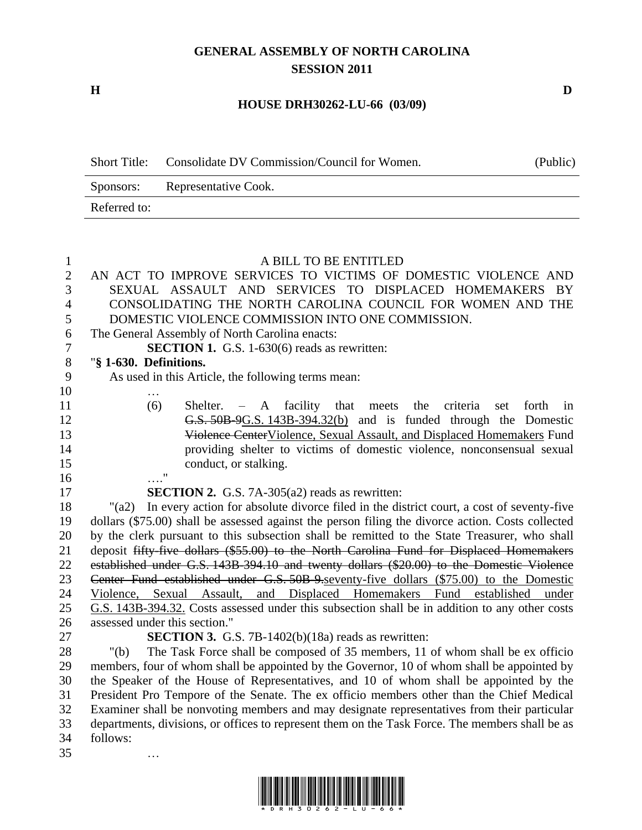## **GENERAL ASSEMBLY OF NORTH CAROLINA SESSION 2011**

**H D**

…

## **HOUSE DRH30262-LU-66 (03/09)**

| <b>Short Title:</b> | Consolidate DV Commission/Council for Women. | (Public) |
|---------------------|----------------------------------------------|----------|
| Sponsors:           | Representative Cook.                         |          |
| Referred to:        |                                              |          |

## AN ACT TO IMPROVE SERVICES TO VICTIMS OF DOMESTIC VIOLENCE AND SEXUAL ASSAULT AND SERVICES TO DISPLACED HOMEMAKERS BY CONSOLIDATING THE NORTH CAROLINA COUNCIL FOR WOMEN AND THE DOMESTIC VIOLENCE COMMISSION INTO ONE COMMISSION. The General Assembly of North Carolina enacts: **SECTION 1.** G.S. 1-630(6) reads as rewritten: "**§ 1-630. Definitions.** As used in this Article, the following terms mean: … (6) Shelter. – A facility that meets the criteria set forth in G.S. 50B-9G.S. 143B-394.32(b) and is funded through the Domestic Violence CenterViolence, Sexual Assault, and Displaced Homemakers Fund providing shelter to victims of domestic violence, nonconsensual sexual 15 conduct, or stalking. …."

A BILL TO BE ENTITLED

 **SECTION 2.** G.S. 7A-305(a2) reads as rewritten: "(a2) In every action for absolute divorce filed in the district court, a cost of seventy-five dollars (\$75.00) shall be assessed against the person filing the divorce action. Costs collected by the clerk pursuant to this subsection shall be remitted to the State Treasurer, who shall 21 deposit fifty-five dollars (\$55.00) to the North Carolina Fund for Displaced Homemakers established under G.S. 143B-394.10 and twenty dollars (\$20.00) to the Domestic Violence Center Fund established under G.S. 50B-9.seventy-five dollars (\$75.00) to the Domestic Violence, Sexual Assault, and Displaced Homemakers Fund established under G.S. 143B-394.32. Costs assessed under this subsection shall be in addition to any other costs assessed under this section."

 **SECTION 3.** G.S. 7B-1402(b)(18a) reads as rewritten: "(b) The Task Force shall be composed of 35 members, 11 of whom shall be ex officio members, four of whom shall be appointed by the Governor, 10 of whom shall be appointed by the Speaker of the House of Representatives, and 10 of whom shall be appointed by the President Pro Tempore of the Senate. The ex officio members other than the Chief Medical Examiner shall be nonvoting members and may designate representatives from their particular departments, divisions, or offices to represent them on the Task Force. The members shall be as follows:

\*DRH30262-LU-62-LU-62-LU-62-LU-62-LU-62-LU-62-LU-62-LU-62-LU-62-LU-62-LU-62-LU-62-LU-62-LU-62-LU-62-LU-62-LU-6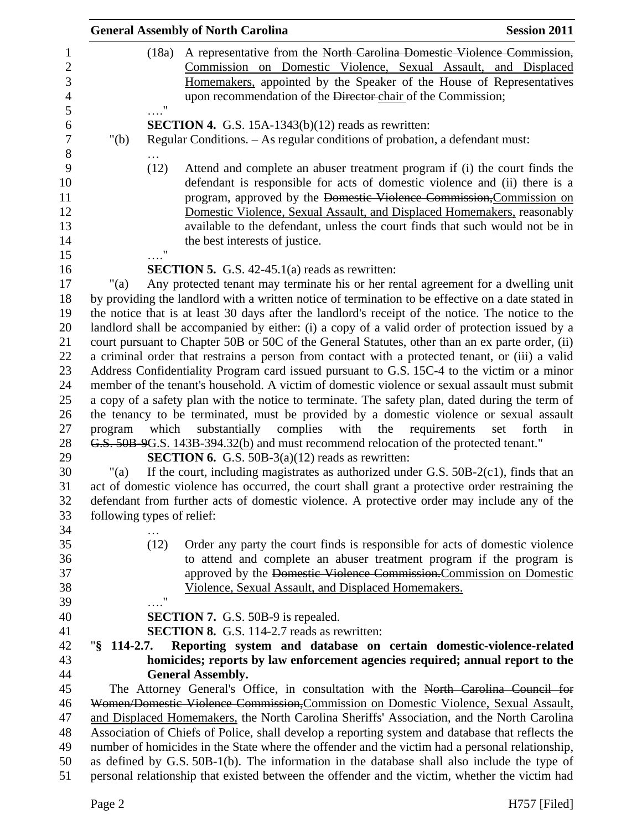|                     |                            | <b>General Assembly of North Carolina</b>                                                                                                                | <b>Session 2011</b>                |
|---------------------|----------------------------|----------------------------------------------------------------------------------------------------------------------------------------------------------|------------------------------------|
|                     | (18a)                      | A representative from the North Carolina Domestic Violence Commission,                                                                                   |                                    |
|                     |                            | Commission on Domestic Violence, Sexual Assault, and Displaced                                                                                           |                                    |
|                     |                            | Homemakers, appointed by the Speaker of the House of Representatives                                                                                     |                                    |
|                     |                            | upon recommendation of the Director-chair of the Commission;                                                                                             |                                    |
|                     | $\ldots$ "                 | <b>SECTION 4.</b> G.S. $15A-1343(b)(12)$ reads as rewritten:                                                                                             |                                    |
| " $(b)$             |                            | Regular Conditions. - As regular conditions of probation, a defendant must:                                                                              |                                    |
|                     |                            |                                                                                                                                                          |                                    |
|                     | (12)                       | Attend and complete an abuser treatment program if (i) the court finds the<br>defendant is responsible for acts of domestic violence and (ii) there is a |                                    |
|                     |                            | program, approved by the Domestic Violence Commission, Commission on                                                                                     |                                    |
|                     |                            |                                                                                                                                                          |                                    |
|                     |                            | Domestic Violence, Sexual Assault, and Displaced Homemakers, reasonably                                                                                  |                                    |
|                     |                            | available to the defendant, unless the court finds that such would not be in                                                                             |                                    |
|                     | 11                         | the best interests of justice.                                                                                                                           |                                    |
|                     |                            | <b>SECTION 5.</b> G.S. $42-45.1(a)$ reads as rewritten:                                                                                                  |                                    |
| "(a)                |                            | Any protected tenant may terminate his or her rental agreement for a dwelling unit                                                                       |                                    |
|                     |                            | by providing the landlord with a written notice of termination to be effective on a date stated in                                                       |                                    |
|                     |                            | the notice that is at least 30 days after the landlord's receipt of the notice. The notice to the                                                        |                                    |
|                     |                            | landlord shall be accompanied by either: (i) a copy of a valid order of protection issued by a                                                           |                                    |
|                     |                            | court pursuant to Chapter 50B or 50C of the General Statutes, other than an ex parte order, (ii)                                                         |                                    |
|                     |                            | a criminal order that restrains a person from contact with a protected tenant, or (iii) a valid                                                          |                                    |
|                     |                            | Address Confidentiality Program card issued pursuant to G.S. 15C-4 to the victim or a minor                                                              |                                    |
|                     |                            | member of the tenant's household. A victim of domestic violence or sexual assault must submit                                                            |                                    |
|                     |                            | a copy of a safety plan with the notice to terminate. The safety plan, dated during the term of                                                          |                                    |
|                     |                            | the tenancy to be terminated, must be provided by a domestic violence or sexual assault                                                                  |                                    |
| program             | which                      | complies<br>with<br>substantially<br>the                                                                                                                 | requirements<br>forth<br>set<br>in |
|                     |                            | G.S. 50B 9G.S. 143B-394.32(b) and must recommend relocation of the protected tenant."                                                                    |                                    |
|                     |                            | <b>SECTION 6.</b> G.S. 50B-3(a)(12) reads as rewritten:                                                                                                  |                                    |
| "(a)                |                            | If the court, including magistrates as authorized under G.S. 50B-2(c1), finds that an                                                                    |                                    |
|                     |                            | act of domestic violence has occurred, the court shall grant a protective order restraining the                                                          |                                    |
|                     |                            | defendant from further acts of domestic violence. A protective order may include any of the                                                              |                                    |
|                     | following types of relief: |                                                                                                                                                          |                                    |
|                     |                            |                                                                                                                                                          |                                    |
|                     | (12)                       | Order any party the court finds is responsible for acts of domestic violence                                                                             |                                    |
|                     |                            | to attend and complete an abuser treatment program if the program is                                                                                     |                                    |
|                     |                            | approved by the Domestic Violence Commission. Commission on Domestic                                                                                     |                                    |
|                     |                            | Violence, Sexual Assault, and Displaced Homemakers.                                                                                                      |                                    |
|                     | $\pmb{\mathsf{H}}$         |                                                                                                                                                          |                                    |
|                     |                            | <b>SECTION 7.</b> G.S. 50B-9 is repealed.                                                                                                                |                                    |
|                     |                            | <b>SECTION 8.</b> G.S. 114-2.7 reads as rewritten:                                                                                                       |                                    |
| $\sqrt{8}$ 114-2.7. |                            | Reporting system and database on certain domestic-violence-related                                                                                       |                                    |
|                     |                            | homicides; reports by law enforcement agencies required; annual report to the                                                                            |                                    |
|                     |                            | <b>General Assembly.</b>                                                                                                                                 |                                    |
|                     |                            | The Attorney General's Office, in consultation with the North Carolina Council for                                                                       |                                    |
|                     |                            | Women/Domestic Violence Commission, Commission on Domestic Violence, Sexual Assault,                                                                     |                                    |
|                     |                            | and Displaced Homemakers, the North Carolina Sheriffs' Association, and the North Carolina                                                               |                                    |
|                     |                            | Association of Chiefs of Police, shall develop a reporting system and database that reflects the                                                         |                                    |
|                     |                            | number of homicides in the State where the offender and the victim had a personal relationship,                                                          |                                    |
|                     |                            | as defined by G.S. 50B-1(b). The information in the database shall also include the type of                                                              |                                    |
|                     |                            | personal relationship that existed between the offender and the victim, whether the victim had                                                           |                                    |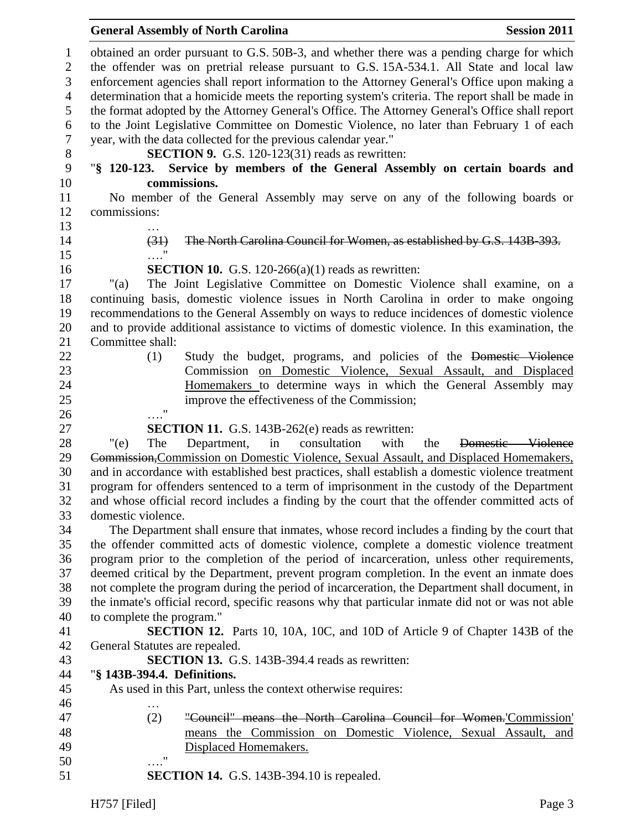## **General Assembly of North Carolina Session 2011**

 obtained an order pursuant to G.S. 50B-3, and whether there was a pending charge for which the offender was on pretrial release pursuant to G.S. 15A-534.1. All State and local law enforcement agencies shall report information to the Attorney General's Office upon making a determination that a homicide meets the reporting system's criteria. The report shall be made in the format adopted by the Attorney General's Office. The Attorney General's Office shall report to the Joint Legislative Committee on Domestic Violence, no later than February 1 of each year, with the data collected for the previous calendar year." **SECTION 9.** G.S. 120-123(31) reads as rewritten: "**§ 120-123. Service by members of the General Assembly on certain boards and commissions.** No member of the General Assembly may serve on any of the following boards or commissions: … (31) The North Carolina Council for Women, as established by G.S. 143B-393. …." **SECTION 10.** G.S. 120-266(a)(1) reads as rewritten: "(a) The Joint Legislative Committee on Domestic Violence shall examine, on a continuing basis, domestic violence issues in North Carolina in order to make ongoing recommendations to the General Assembly on ways to reduce incidences of domestic violence and to provide additional assistance to victims of domestic violence. In this examination, the Committee shall: (1) Study the budget, programs, and policies of the Domestic Violence Commission on Domestic Violence, Sexual Assault, and Displaced Homemakers to determine ways in which the General Assembly may improve the effectiveness of the Commission; …." **SECTION 11.** G.S. 143B-262(e) reads as rewritten: "(e) The Department, in consultation with the Domestic Violence Commission,Commission on Domestic Violence, Sexual Assault, and Displaced Homemakers, and in accordance with established best practices, shall establish a domestic violence treatment program for offenders sentenced to a term of imprisonment in the custody of the Department and whose official record includes a finding by the court that the offender committed acts of domestic violence. The Department shall ensure that inmates, whose record includes a finding by the court that the offender committed acts of domestic violence, complete a domestic violence treatment program prior to the completion of the period of incarceration, unless other requirements, deemed critical by the Department, prevent program completion. In the event an inmate does not complete the program during the period of incarceration, the Department shall document, in the inmate's official record, specific reasons why that particular inmate did not or was not able to complete the program." **SECTION 12.** Parts 10, 10A, 10C, and 10D of Article 9 of Chapter 143B of the General Statutes are repealed. **SECTION 13.** G.S. 143B-394.4 reads as rewritten: "**§ 143B-394.4. Definitions.** As used in this Part, unless the context otherwise requires: … (2) "Council" means the North Carolina Council for Women.'Commission' means the Commission on Domestic Violence, Sexual Assault, and Displaced Homemakers. …." **SECTION 14.** G.S. 143B-394.10 is repealed.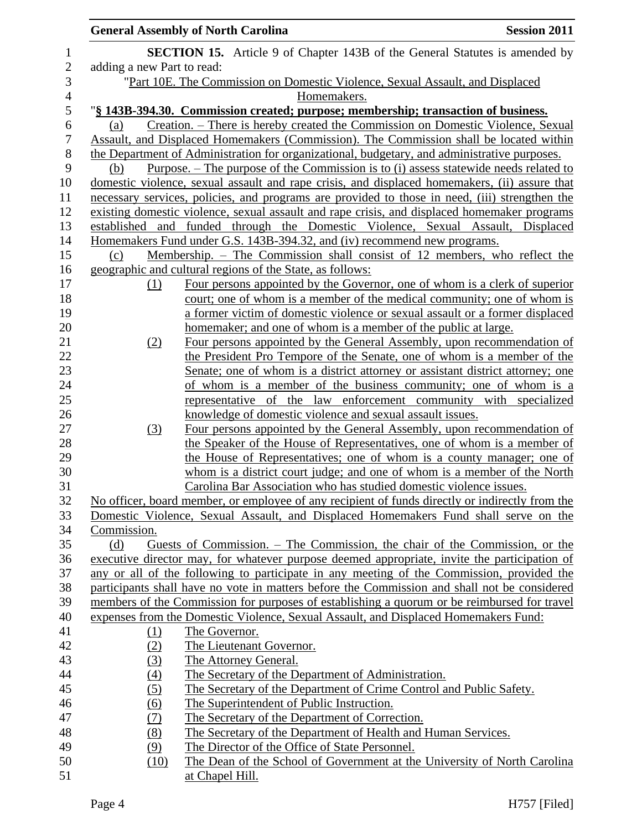|                |                            | <b>General Assembly of North Carolina</b>                                                                                                                                              | <b>Session 2011</b> |
|----------------|----------------------------|----------------------------------------------------------------------------------------------------------------------------------------------------------------------------------------|---------------------|
| $\mathbf{1}$   |                            | <b>SECTION 15.</b> Article 9 of Chapter 143B of the General Statutes is amended by                                                                                                     |                     |
| $\overline{2}$ | adding a new Part to read: |                                                                                                                                                                                        |                     |
| 3              |                            | "Part 10E. The Commission on Domestic Violence, Sexual Assault, and Displaced                                                                                                          |                     |
| $\overline{4}$ |                            | Homemakers.                                                                                                                                                                            |                     |
| 5              |                            | "§ 143B-394.30. Commission created; purpose; membership; transaction of business.                                                                                                      |                     |
| 6              | (a)                        | Creation. – There is hereby created the Commission on Domestic Violence, Sexual                                                                                                        |                     |
| 7              |                            | Assault, and Displaced Homemakers (Commission). The Commission shall be located within                                                                                                 |                     |
| 8              |                            | the Department of Administration for organizational, budgetary, and administrative purposes.                                                                                           |                     |
| 9              | (b)                        | <u>Purpose. – The purpose of the Commission is to (i) assess statewide needs related to</u>                                                                                            |                     |
| 10             |                            | domestic violence, sexual assault and rape crisis, and displaced homemakers, (ii) assure that                                                                                          |                     |
| 11             |                            | necessary services, policies, and programs are provided to those in need, (iii) strengthen the                                                                                         |                     |
| 12             |                            | existing domestic violence, sexual assault and rape crisis, and displaced homemaker programs                                                                                           |                     |
| 13             | established and            | funded through the Domestic Violence, Sexual Assault, Displaced                                                                                                                        |                     |
| 14             |                            | Homemakers Fund under G.S. 143B-394.32, and (iv) recommend new programs.                                                                                                               |                     |
| 15             | (c)                        | Membership. – The Commission shall consist of 12 members, who reflect the                                                                                                              |                     |
| 16             |                            | geographic and cultural regions of the State, as follows:                                                                                                                              |                     |
| 17             | (1)                        | Four persons appointed by the Governor, one of whom is a clerk of superior                                                                                                             |                     |
| 18             |                            | court; one of whom is a member of the medical community; one of whom is                                                                                                                |                     |
| 19             |                            | a former victim of domestic violence or sexual assault or a former displaced                                                                                                           |                     |
| 20             |                            | homemaker; and one of whom is a member of the public at large.                                                                                                                         |                     |
| 21             | (2)                        | Four persons appointed by the General Assembly, upon recommendation of                                                                                                                 |                     |
| 22             |                            | the President Pro Tempore of the Senate, one of whom is a member of the                                                                                                                |                     |
| 23             |                            | Senate; one of whom is a district attorney or assistant district attorney; one                                                                                                         |                     |
| 24             |                            | of whom is a member of the business community; one of whom is a                                                                                                                        |                     |
| 25             |                            | representative of the law enforcement community with specialized                                                                                                                       |                     |
| 26             |                            | knowledge of domestic violence and sexual assault issues.                                                                                                                              |                     |
| 27             | (3)                        | Four persons appointed by the General Assembly, upon recommendation of                                                                                                                 |                     |
| 28             |                            | the Speaker of the House of Representatives, one of whom is a member of                                                                                                                |                     |
| 29             |                            | the House of Representatives; one of whom is a county manager; one of                                                                                                                  |                     |
| 30             |                            | whom is a district court judge; and one of whom is a member of the North                                                                                                               |                     |
| 31<br>32       |                            | Carolina Bar Association who has studied domestic violence issues.                                                                                                                     |                     |
| 33             |                            | No officer, board member, or employee of any recipient of funds directly or indirectly from the<br>Domestic Violence, Sexual Assault, and Displaced Homemakers Fund shall serve on the |                     |
| 34             | Commission.                |                                                                                                                                                                                        |                     |
| 35             | (d)                        | Guests of Commission. – The Commission, the chair of the Commission, or the                                                                                                            |                     |
| 36             |                            | executive director may, for whatever purpose deemed appropriate, invite the participation of                                                                                           |                     |
| 37             |                            | any or all of the following to participate in any meeting of the Commission, provided the                                                                                              |                     |
| 38             |                            | participants shall have no vote in matters before the Commission and shall not be considered                                                                                           |                     |
| 39             |                            | members of the Commission for purposes of establishing a quorum or be reimbursed for travel                                                                                            |                     |
| 40             |                            | expenses from the Domestic Violence, Sexual Assault, and Displaced Homemakers Fund:                                                                                                    |                     |
| 41             | <u>(1)</u>                 | The Governor.                                                                                                                                                                          |                     |
| 42             | (2)                        | The Lieutenant Governor.                                                                                                                                                               |                     |
| 43             | (3)                        | The Attorney General.                                                                                                                                                                  |                     |
| 44             | (4)                        | The Secretary of the Department of Administration.                                                                                                                                     |                     |
| 45             | (5)                        | The Secretary of the Department of Crime Control and Public Safety.                                                                                                                    |                     |
| 46             | (6)                        | The Superintendent of Public Instruction.                                                                                                                                              |                     |
| 47             | (7)                        | The Secretary of the Department of Correction.                                                                                                                                         |                     |
| 48             | (8)                        | The Secretary of the Department of Health and Human Services.                                                                                                                          |                     |
| 49             | (9)                        | The Director of the Office of State Personnel.                                                                                                                                         |                     |
| 50             | (10)                       | The Dean of the School of Government at the University of North Carolina                                                                                                               |                     |
| 51             |                            | at Chapel Hill.                                                                                                                                                                        |                     |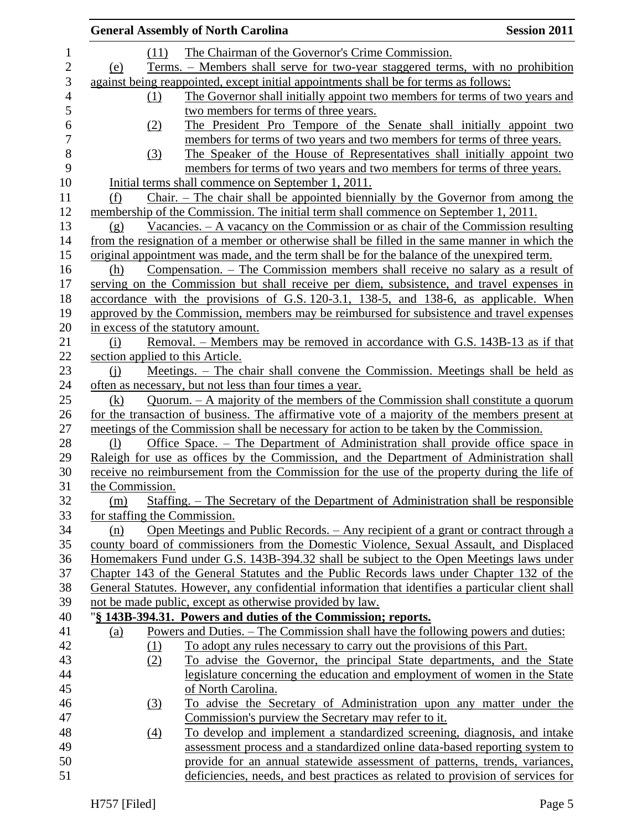|                 |                  | <b>General Assembly of North Carolina</b>                                                         | <b>Session 2011</b> |
|-----------------|------------------|---------------------------------------------------------------------------------------------------|---------------------|
|                 | (11)             | The Chairman of the Governor's Crime Commission.                                                  |                     |
| (e)             |                  | Terms. – Members shall serve for two-year staggered terms, with no prohibition                    |                     |
|                 |                  | against being reappointed, except initial appointments shall be for terms as follows:             |                     |
|                 | (1)              | The Governor shall initially appoint two members for terms of two years and                       |                     |
|                 |                  | two members for terms of three years.                                                             |                     |
|                 | (2)              | The President Pro Tempore of the Senate shall initially appoint two                               |                     |
|                 |                  | members for terms of two years and two members for terms of three years.                          |                     |
|                 | (3)              | The Speaker of the House of Representatives shall initially appoint two                           |                     |
|                 |                  | members for terms of two years and two members for terms of three years.                          |                     |
|                 |                  | Initial terms shall commence on September 1, 2011.                                                |                     |
| (f)             |                  | ${\rm Chair.}$ – The chair shall be appointed biennially by the Governor from among the           |                     |
|                 |                  | membership of the Commission. The initial term shall commence on September 1, 2011.               |                     |
| (g)             |                  | Vacancies. $-$ A vacancy on the Commission or as chair of the Commission resulting                |                     |
|                 |                  | from the resignation of a member or otherwise shall be filled in the same manner in which the     |                     |
|                 |                  | original appointment was made, and the term shall be for the balance of the unexpired term.       |                     |
| (h)             |                  | Compensation. – The Commission members shall receive no salary as a result of                     |                     |
|                 |                  | serving on the Commission but shall receive per diem, subsistence, and travel expenses in         |                     |
|                 |                  | accordance with the provisions of G.S. 120-3.1, 138-5, and 138-6, as applicable. When             |                     |
|                 |                  | approved by the Commission, members may be reimbursed for subsistence and travel expenses         |                     |
|                 |                  | in excess of the statutory amount.                                                                |                     |
| (i)             |                  | Removal. – Members may be removed in accordance with G.S. 143B-13 as if that                      |                     |
|                 |                  | section applied to this Article.                                                                  |                     |
| (i)             |                  | Meetings. – The chair shall convene the Commission. Meetings shall be held as                     |                     |
|                 |                  | often as necessary, but not less than four times a year.                                          |                     |
| (k)             |                  | Quorum. - A majority of the members of the Commission shall constitute a quorum                   |                     |
|                 |                  | for the transaction of business. The affirmative vote of a majority of the members present at     |                     |
|                 |                  | meetings of the Commission shall be necessary for action to be taken by the Commission.           |                     |
| (1)             |                  | Office Space. – The Department of Administration shall provide office space in                    |                     |
|                 |                  | Raleigh for use as offices by the Commission, and the Department of Administration shall          |                     |
|                 |                  | receive no reimbursement from the Commission for the use of the property during the life of       |                     |
| the Commission. |                  |                                                                                                   |                     |
| (m)             |                  | Staffing. – The Secretary of the Department of Administration shall be responsible                |                     |
|                 |                  | for staffing the Commission.                                                                      |                     |
| (n)             |                  | Open Meetings and Public Records. – Any recipient of a grant or contract through a                |                     |
|                 |                  | county board of commissioners from the Domestic Violence, Sexual Assault, and Displaced           |                     |
|                 |                  | Homemakers Fund under G.S. 143B-394.32 shall be subject to the Open Meetings laws under           |                     |
|                 |                  | Chapter 143 of the General Statutes and the Public Records laws under Chapter 132 of the          |                     |
|                 |                  | General Statutes. However, any confidential information that identifies a particular client shall |                     |
|                 |                  | not be made public, except as otherwise provided by law.                                          |                     |
|                 |                  | "§ 143B-394.31. Powers and duties of the Commission; reports.                                     |                     |
| <u>(a)</u>      |                  | Powers and Duties. – The Commission shall have the following powers and duties:                   |                     |
|                 | $\Omega$         | To adopt any rules necessary to carry out the provisions of this Part.                            |                     |
|                 | (2)              | To advise the Governor, the principal State departments, and the State                            |                     |
|                 |                  | legislature concerning the education and employment of women in the State                         |                     |
|                 |                  | of North Carolina.                                                                                |                     |
|                 | (3)              | To advise the Secretary of Administration upon any matter under the                               |                     |
|                 |                  | Commission's purview the Secretary may refer to it.                                               |                     |
|                 | $\left(4\right)$ | To develop and implement a standardized screening, diagnosis, and intake                          |                     |
|                 |                  | assessment process and a standardized online data-based reporting system to                       |                     |
|                 |                  | provide for an annual statewide assessment of patterns, trends, variances,                        |                     |
|                 |                  | deficiencies, needs, and best practices as related to provision of services for                   |                     |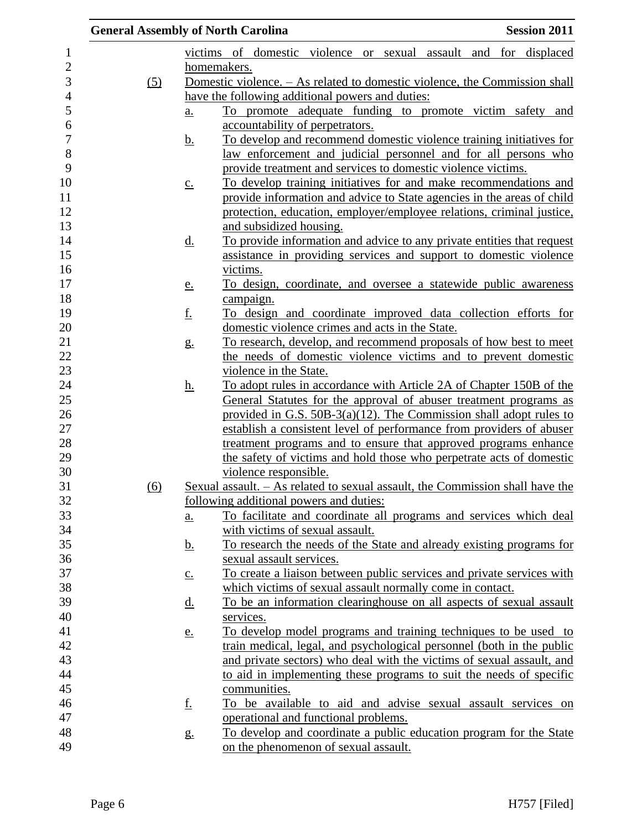|                  | <b>General Assembly of North Carolina</b> |                   |                                                                               | <b>Session 2011</b> |
|------------------|-------------------------------------------|-------------------|-------------------------------------------------------------------------------|---------------------|
| 1                |                                           |                   | victims of domestic violence or sexual assault and for displaced              |                     |
| $\overline{c}$   |                                           |                   | homemakers.                                                                   |                     |
| 3                | (5)                                       |                   | Domestic violence. - As related to domestic violence, the Commission shall    |                     |
| 4                |                                           |                   | have the following additional powers and duties:                              |                     |
| 5                |                                           | $\underline{a}$ . | To promote adequate funding to promote victim safety and                      |                     |
| 6                |                                           |                   | accountability of perpetrators.                                               |                     |
| $\boldsymbol{7}$ |                                           | <u>b.</u>         | To develop and recommend domestic violence training initiatives for           |                     |
| $\,8\,$          |                                           |                   | law enforcement and judicial personnel and for all persons who                |                     |
| 9                |                                           |                   | provide treatment and services to domestic violence victims.                  |                     |
| 10               |                                           | $\underline{c}$ . | To develop training initiatives for and make recommendations and              |                     |
| 11               |                                           |                   | provide information and advice to State agencies in the areas of child        |                     |
| 12               |                                           |                   | protection, education, employer/employee relations, criminal justice,         |                     |
| 13               |                                           |                   | and subsidized housing.                                                       |                     |
| 14               |                                           | <u>d.</u>         | To provide information and advice to any private entities that request        |                     |
| 15               |                                           |                   | assistance in providing services and support to domestic violence             |                     |
| 16               |                                           |                   | victims.                                                                      |                     |
| 17               |                                           | <u>e.</u>         | To design, coordinate, and oversee a statewide public awareness               |                     |
| 18               |                                           |                   | campaign.                                                                     |                     |
| 19               |                                           | <u>f.</u>         | <u>To design and coordinate improved data collection efforts for</u>          |                     |
| 20               |                                           |                   | domestic violence crimes and acts in the State.                               |                     |
| 21               |                                           | $g_{\cdot}$       | To research, develop, and recommend proposals of how best to meet             |                     |
| 22               |                                           |                   | the needs of domestic violence victims and to prevent domestic                |                     |
| 23               |                                           |                   | violence in the State.                                                        |                     |
| 24               |                                           | <u>h.</u>         | To adopt rules in accordance with Article 2A of Chapter 150B of the           |                     |
| 25               |                                           |                   | General Statutes for the approval of abuser treatment programs as             |                     |
| 26               |                                           |                   | provided in G.S. $50B-3(a)(12)$ . The Commission shall adopt rules to         |                     |
| 27               |                                           |                   | establish a consistent level of performance from providers of abuser          |                     |
| 28               |                                           |                   | treatment programs and to ensure that approved programs enhance               |                     |
| 29               |                                           |                   | the safety of victims and hold those who perpetrate acts of domestic          |                     |
| 30               |                                           |                   | violence responsible.                                                         |                     |
| 31               | (6)                                       |                   | Sexual assault. - As related to sexual assault, the Commission shall have the |                     |
| 32               |                                           |                   | following additional powers and duties:                                       |                     |
| 33               |                                           | a.                | To facilitate and coordinate all programs and services which deal             |                     |
| 34               |                                           |                   | with victims of sexual assault.                                               |                     |
| 35               |                                           | <u>b.</u>         | To research the needs of the State and already existing programs for          |                     |
| 36               |                                           |                   | sexual assault services.                                                      |                     |
| 37               |                                           | $\underline{c}$ . | To create a liaison between public services and private services with         |                     |
| 38               |                                           |                   | which victims of sexual assault normally come in contact.                     |                     |
| 39               |                                           | <u>d.</u>         | To be an information clearinghouse on all aspects of sexual assault           |                     |
| 40               |                                           |                   | services.                                                                     |                     |
| 41               |                                           | <u>e.</u>         | To develop model programs and training techniques to be used to               |                     |
| 42               |                                           |                   | train medical, legal, and psychological personnel (both in the public         |                     |
| 43               |                                           |                   | and private sectors) who deal with the victims of sexual assault, and         |                     |
| 44               |                                           |                   | to aid in implementing these programs to suit the needs of specific           |                     |
| 45               |                                           |                   | communities.                                                                  |                     |
| 46               |                                           | <u>f.</u>         | To be available to aid and advise sexual assault services on                  |                     |
| 47               |                                           |                   | operational and functional problems.                                          |                     |
| 48               |                                           | g.                | To develop and coordinate a public education program for the State            |                     |
| 49               |                                           |                   | on the phenomenon of sexual assault.                                          |                     |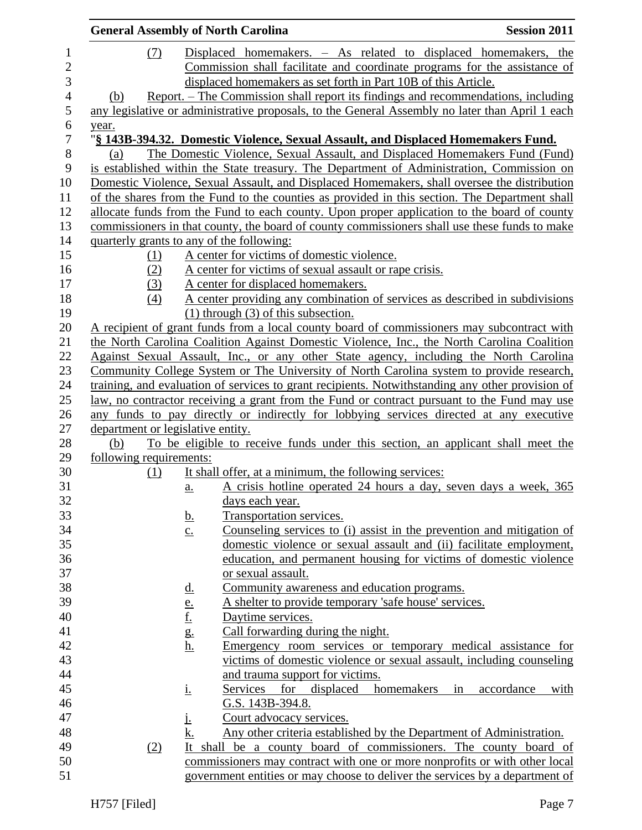|                                   |                                             | <b>General Assembly of North Carolina</b>                                                          | <b>Session 2011</b>                    |
|-----------------------------------|---------------------------------------------|----------------------------------------------------------------------------------------------------|----------------------------------------|
| (7)                               |                                             | Displaced homemakers. - As related to displaced homemakers, the                                    |                                        |
|                                   |                                             | Commission shall facilitate and coordinate programs for the assistance of                          |                                        |
|                                   |                                             | displaced homemakers as set forth in Part 10B of this Article.                                     |                                        |
| (b)                               |                                             | <u>Report. – The Commission shall report its findings and recommendations, including</u>           |                                        |
|                                   |                                             | any legislative or administrative proposals, to the General Assembly no later than April 1 each    |                                        |
| year.                             |                                             |                                                                                                    |                                        |
|                                   |                                             | "§ 143B-394.32. Domestic Violence, Sexual Assault, and Displaced Homemakers Fund.                  |                                        |
| (a)                               |                                             | The Domestic Violence, Sexual Assault, and Displaced Homemakers Fund (Fund)                        |                                        |
|                                   |                                             | is established within the State treasury. The Department of Administration, Commission on          |                                        |
|                                   |                                             | Domestic Violence, Sexual Assault, and Displaced Homemakers, shall oversee the distribution        |                                        |
|                                   |                                             | of the shares from the Fund to the counties as provided in this section. The Department shall      |                                        |
|                                   |                                             | allocate funds from the Fund to each county. Upon proper application to the board of county        |                                        |
|                                   |                                             | commissioners in that county, the board of county commissioners shall use these funds to make      |                                        |
|                                   |                                             | quarterly grants to any of the following:                                                          |                                        |
| (1)                               |                                             | A center for victims of domestic violence.                                                         |                                        |
| (2)                               |                                             | A center for victims of sexual assault or rape crisis.                                             |                                        |
| (3)                               |                                             | A center for displaced homemakers.                                                                 |                                        |
| (4)                               |                                             | A center providing any combination of services as described in subdivisions                        |                                        |
|                                   |                                             | $(1)$ through $(3)$ of this subsection.                                                            |                                        |
|                                   |                                             | A recipient of grant funds from a local county board of commissioners may subcontract with         |                                        |
|                                   |                                             | the North Carolina Coalition Against Domestic Violence, Inc., the North Carolina Coalition         |                                        |
|                                   |                                             | Against Sexual Assault, Inc., or any other State agency, including the North Carolina              |                                        |
|                                   |                                             | Community College System or The University of North Carolina system to provide research,           |                                        |
|                                   |                                             | training, and evaluation of services to grant recipients. Notwithstanding any other provision of   |                                        |
|                                   |                                             |                                                                                                    |                                        |
|                                   |                                             | <u>law, no contractor receiving a grant from the Fund or contract pursuant to the Fund may use</u> |                                        |
| department or legislative entity. |                                             | any funds to pay directly or indirectly for lobbying services directed at any executive            |                                        |
| (b)                               |                                             | To be eligible to receive funds under this section, an applicant shall meet the                    |                                        |
| following requirements:           |                                             |                                                                                                    |                                        |
| (1)                               |                                             | It shall offer, at a minimum, the following services:                                              |                                        |
|                                   |                                             | A crisis hotline operated 24 hours a day, seven days a week, 365                                   |                                        |
|                                   | a.                                          | days each year.                                                                                    |                                        |
|                                   |                                             |                                                                                                    |                                        |
|                                   | <u>b.</u>                                   | Transportation services.                                                                           |                                        |
|                                   | $\underline{c}$ .                           | <u>Counseling services to (i) assist in the prevention and mitigation of</u>                       |                                        |
|                                   |                                             | domestic violence or sexual assault and (ii) facilitate employment,                                |                                        |
|                                   |                                             | education, and permanent housing for victims of domestic violence                                  |                                        |
|                                   |                                             | or sexual assault.                                                                                 |                                        |
|                                   | $\underline{\mathbf{d}}$ .                  | Community awareness and education programs.                                                        |                                        |
|                                   | $\frac{e}{f}$ .<br>$\frac{g}{g}$ .<br>$h$ . | A shelter to provide temporary 'safe house' services.                                              |                                        |
|                                   |                                             | Daytime services.                                                                                  |                                        |
|                                   |                                             | Call forwarding during the night.                                                                  |                                        |
|                                   |                                             | Emergency room services or temporary medical assistance for                                        |                                        |
|                                   |                                             | victims of domestic violence or sexual assault, including counseling                               |                                        |
|                                   |                                             | and trauma support for victims.                                                                    |                                        |
|                                   | i.                                          | displaced<br>Services for                                                                          | homemakers<br>accordance<br>with<br>in |
|                                   |                                             | G.S. 143B-394.8.                                                                                   |                                        |
|                                   | Ŀ                                           | Court advocacy services.                                                                           |                                        |
|                                   | k.                                          | Any other criteria established by the Department of Administration.                                |                                        |
| (2)                               | It                                          | shall be a county board of commissioners. The county board of                                      |                                        |
|                                   |                                             | commissioners may contract with one or more nonprofits or with other local                         |                                        |
|                                   |                                             | government entities or may choose to deliver the services by a department of                       |                                        |